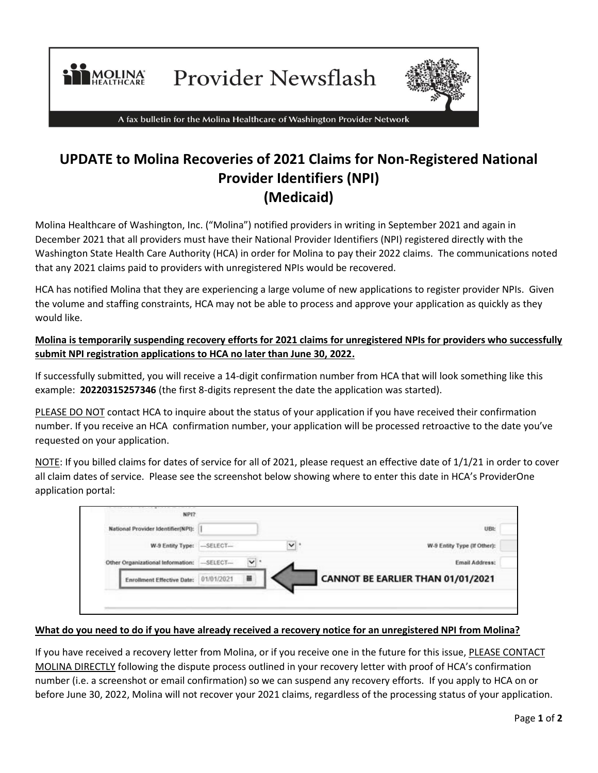

Provider Newsflash



A fax bulletin for the Molina Healthcare of Washington Provider Network

# **UPDATE to Molina Recoveries of 2021 Claims for Non-Registered National Provider Identifiers (NPI) (Medicaid)**

Molina Healthcare of Washington, Inc. ("Molina") notified providers in writing in September 2021 and again in December 2021 that all providers must have their National Provider Identifiers (NPI) registered directly with the Washington State Health Care Authority (HCA) in order for Molina to pay their 2022 claims. The communications noted that any 2021 claims paid to providers with unregistered NPIs would be recovered.

HCA has notified Molina that they are experiencing a large volume of new applications to register provider NPIs. Given the volume and staffing constraints, HCA may not be able to process and approve your application as quickly as they would like.

## **Molina is temporarily suspending recovery efforts for 2021 claims for unregistered NPIs for providers who successfully submit NPI registration applications to HCA no later than June 30, 2022.**

If successfully submitted, you will receive a 14-digit confirmation number from HCA that will look something like this example: **20220315257346** (the first 8-digits represent the date the application was started).

PLEASE DO NOT contact HCA to inquire about the status of your application if you have received their confirmation number. If you receive an HCA confirmation number, your application will be processed retroactive to the date you've requested on your application.

NOTE: If you billed claims for dates of service for all of 2021, please request an effective date of 1/1/21 in order to cover all claim dates of service. Please see the screenshot below showing where to enter this date in HCA's ProviderOne application portal:

| National Provider Identifier(NPI): |                           |                |    | UBI:                              |
|------------------------------------|---------------------------|----------------|----|-----------------------------------|
|                                    | W-9 Entity Type: -SELECT- |                | v. | W-9 Entity Type (If Other):       |
| Other Organizational Information:  | $-$ SELECT $-$            | $\mathsf{v}$ : |    | Email Address:                    |
| <b>Enrollment Effective Date:</b>  |                           | $\equiv$       |    | CANNOT BE EARLIER THAN 01/01/2021 |

#### **What do you need to do if you have already received a recovery notice for an unregistered NPI from Molina?**

If you have received a recovery letter from Molina, or if you receive one in the future for this issue, PLEASE CONTACT MOLINA DIRECTLY following the dispute process outlined in your recovery letter with proof of HCA's confirmation number (i.e. a screenshot or email confirmation) so we can suspend any recovery efforts. If you apply to HCA on or before June 30, 2022, Molina will not recover your 2021 claims, regardless of the processing status of your application.